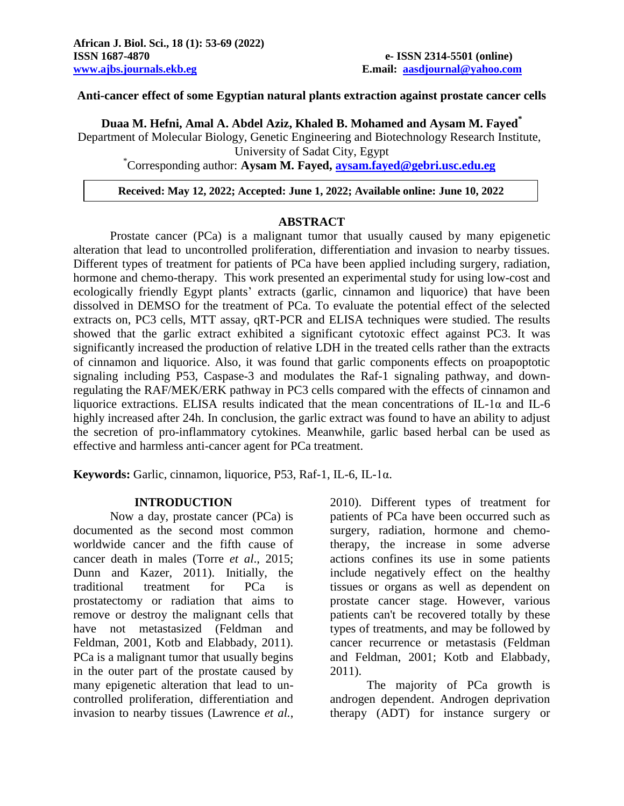**Duaa M. Hefni, Amal A. Abdel Aziz, Khaled B. Mohamed and Aysam M. Fayed\***

Department of Molecular Biology, Genetic Engineering and Biotechnology Research Institute, University of Sadat City, Egypt

\*Corresponding author: **Aysam M. Fayed, [aysam.fayed@gebri.usc.edu.eg](mailto:aysam.fayed@gebri.usc.edu.eg)**

#### **Received: May 12, 2022; Accepted: June 1, 2022; Available online: June 10, 2022**

#### **ABSTRACT**

Prostate cancer (PCa) is a malignant tumor that usually caused by many epigenetic alteration that lead to uncontrolled proliferation, differentiation and invasion to nearby tissues. Different types of treatment for patients of PCa have been applied including surgery, radiation, hormone and chemo-therapy. This work presented an experimental study for using low-cost and ecologically friendly Egypt plants' extracts (garlic, cinnamon and liquorice) that have been dissolved in DEMSO for the treatment of PCa. To evaluate the potential effect of the selected extracts on, PC3 cells, MTT assay, qRT-PCR and ELISA techniques were studied. The results showed that the garlic extract exhibited a significant cytotoxic effect against PC3. It was significantly increased the production of relative LDH in the treated cells rather than the extracts of cinnamon and liquorice. Also, it was found that garlic components effects on proapoptotic signaling including P53, Caspase-3 and modulates the Raf-1 signaling pathway, and downregulating the RAF/MEK/ERK pathway in PC3 cells compared with the effects of cinnamon and liquorice extractions. ELISA results indicated that the mean concentrations of IL-1 $\alpha$  and IL-6 highly increased after 24h. In conclusion, the garlic extract was found to have an ability to adjust the secretion of pro-inflammatory cytokines. Meanwhile, garlic based herbal can be used as effective and harmless anti-cancer agent for PCa treatment.

**Keywords:** Garlic, cinnamon, liquorice, P53, Raf-1, IL-6, IL-1α.

#### **INTRODUCTION**

Now a day, prostate cancer (PCa) is documented as the second most common worldwide cancer and the fifth cause of cancer death in males (Torre *et al*., 2015; Dunn and Kazer, 2011). Initially, the traditional treatment for PCa is prostatectomy or radiation that aims to remove or destroy the malignant cells that have not metastasized (Feldman and Feldman, 2001, Kotb and Elabbady, 2011). PCa is a malignant tumor that usually begins in the outer part of the prostate caused by many epigenetic alteration that lead to uncontrolled proliferation, differentiation and invasion to nearby tissues (Lawrence *et al.*,

2010). Different types of treatment for patients of PCa have been occurred such as surgery, radiation, hormone and chemotherapy, the increase in some adverse actions confines its use in some patients include negatively effect on the healthy tissues or organs as well as dependent on prostate cancer stage. However, various patients can't be recovered totally by these types of treatments, and may be followed by cancer recurrence or metastasis (Feldman and Feldman, 2001; Kotb and Elabbady, 2011).

The majority of PCa growth is androgen dependent. Androgen deprivation therapy (ADT) for instance surgery or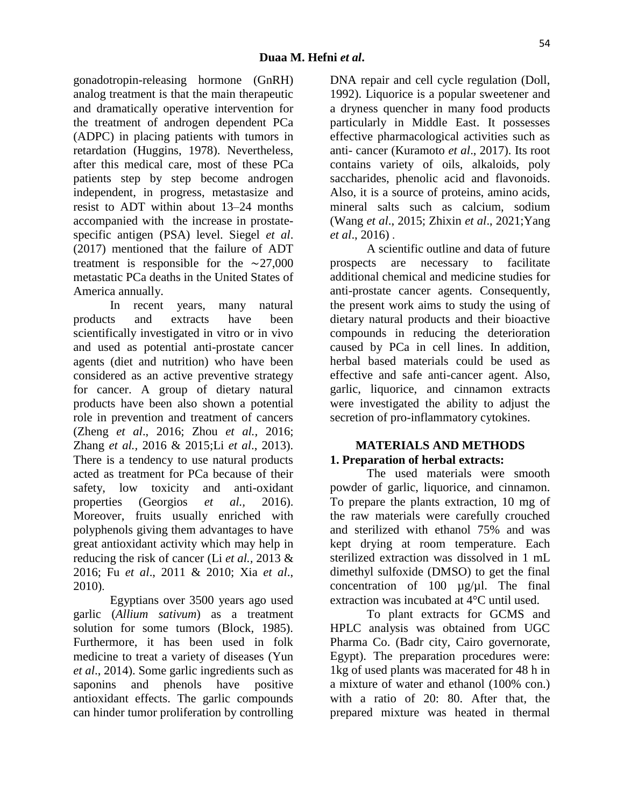gonadotropin-releasing hormone (GnRH) analog treatment is that the main therapeutic and dramatically operative intervention for the treatment of androgen dependent PCa (ADPC) in placing patients with tumors in retardation (Huggins, 1978). Nevertheless, after this medical care, most of these PCa patients step by step become androgen independent, in progress, metastasize and resist to ADT within about 13–24 months accompanied with the increase in prostatespecific antigen (PSA) level. Siegel *et al*. (2017) mentioned that the failure of ADT treatment is responsible for the ∼27,000 metastatic PCa deaths in the United States of America annually.

In recent years, many natural products and extracts have been scientifically investigated in vitro or in vivo and used as potential anti-prostate cancer agents (diet and nutrition) who have been considered as an active preventive strategy for cancer. A group of dietary natural products have been also shown a potential role in prevention and treatment of cancers (Zheng *et al*., 2016; Zhou *et al.,* 2016; Zhang *et al.,* 2016 & 2015;Li *et al*., 2013). There is a tendency to use natural products acted as treatment for PCa because of their safety, low toxicity and anti-oxidant properties (Georgios *et al.,* 2016). Moreover, fruits usually enriched with polyphenols giving them advantages to have great antioxidant activity which may help in reducing the risk of cancer (Li *et al.,* 2013 & 2016; Fu *et al*., 2011 & 2010; Xia *et al*., 2010).

Egyptians over 3500 years ago used garlic (*Allium sativum*) as a treatment solution for some tumors (Block, 1985). Furthermore, it has been used in folk medicine to treat a variety of diseases (Yun *et al*., 2014). Some garlic ingredients such as saponins and phenols have positive antioxidant effects. The garlic compounds can hinder tumor proliferation by controlling

DNA repair and cell cycle regulation (Doll, 1992). Liquorice is a popular sweetener and a dryness quencher in many food products particularly in Middle East. It possesses effective pharmacological activities such as anti- cancer (Kuramoto *et al*., 2017). Its root contains variety of oils, alkaloids, poly saccharides, phenolic acid and flavonoids. Also, it is a source of proteins, amino acids, mineral salts such as calcium, sodium (Wang *et al*., 2015; Zhixin *et al*., 2021;Yang *et al*., 2016) .

A scientific outline and data of future prospects are necessary to facilitate additional chemical and medicine studies for anti-prostate cancer agents. Consequently, the present work aims to study the using of dietary natural products and their bioactive compounds in reducing the deterioration caused by PCa in cell lines. In addition, herbal based materials could be used as effective and safe anti-cancer agent. Also, garlic, liquorice, and cinnamon extracts were investigated the ability to adjust the secretion of pro-inflammatory cytokines.

### **MATERIALS AND METHODS 1. Preparation of herbal extracts:**

The used materials were smooth powder of garlic, liquorice, and cinnamon. To prepare the plants extraction, 10 mg of the raw materials were carefully crouched and sterilized with ethanol 75% and was kept drying at room temperature. Each sterilized extraction was dissolved in 1 mL dimethyl sulfoxide (DMSO) to get the final concentration of 100  $\mu$ g/ $\mu$ l. The final extraction was incubated at 4°C until used.

To plant extracts for GCMS and HPLC analysis was obtained from UGC Pharma Co. (Badr city, Cairo governorate, Egypt). The preparation procedures were: 1kg of used plants was macerated for 48 h in a mixture of water and ethanol (100% con.) with a ratio of 20: 80. After that, the prepared mixture was heated in thermal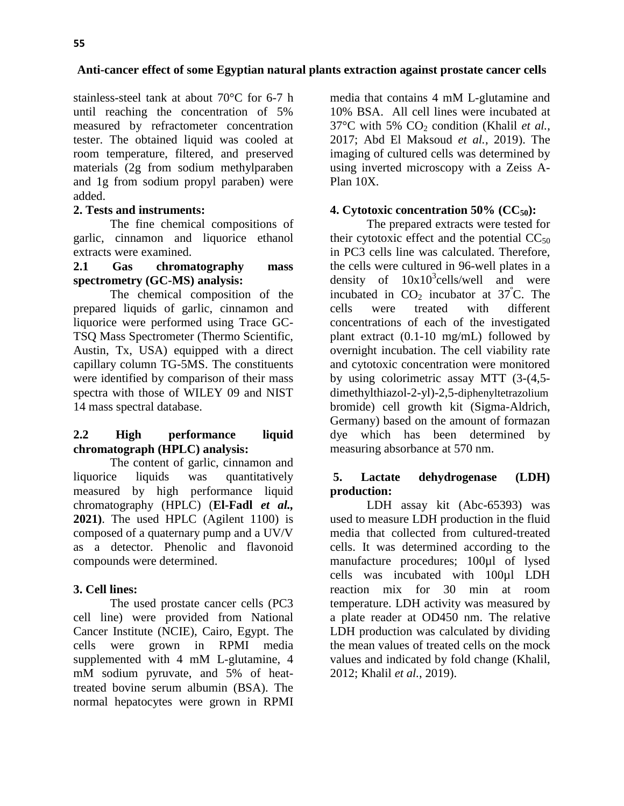stainless-steel tank at about 70°C for 6-7 h until reaching the concentration of 5% measured by refractometer concentration tester. The obtained liquid was cooled at room temperature, filtered, and preserved materials (2g from sodium methylparaben and 1g from sodium propyl paraben) were added.

# **2. Tests and instruments:**

The fine chemical compositions of garlic, cinnamon and liquorice ethanol extracts were examined.

### **2.1 Gas chromatography mass spectrometry (GC-MS) analysis:**

The chemical composition of the prepared liquids of garlic, cinnamon and liquorice were performed using Trace GC-TSQ Mass Spectrometer (Thermo Scientific, Austin, Tx, USA) equipped with a direct capillary column TG-5MS. The constituents were identified by comparison of their mass spectra with those of WILEY 09 and NIST 14 mass spectral database.

# **2.2 High performance liquid chromatograph (HPLC) analysis:**

The content of garlic, cinnamon and liquorice liquids was quantitatively measured by high performance liquid chromatography (HPLC) (**El-Fadl** *et al.,* **2021)**. The used HPLC (Agilent 1100) is composed of a quaternary pump and a UV/V as a detector. Phenolic and flavonoid compounds were determined.

# **3. Cell lines:**

The used prostate cancer cells (PC3 cell line) were provided from National Cancer Institute (NCIE), Cairo, Egypt. The cells were grown in RPMI media supplemented with 4 mM L-glutamine, 4 mM sodium pyruvate, and 5% of heattreated bovine serum albumin (BSA). The normal hepatocytes were grown in RPMI

media that contains 4 mM L-glutamine and 10% BSA. All cell lines were incubated at  $37^{\circ}$ C with 5% CO<sub>2</sub> condition (Khalil *et al.*, 2017; Abd El Maksoud *et al.*, 2019). The imaging of cultured cells was determined by using inverted microscopy with a Zeiss A-Plan 10X.

# **4. Cytotoxic concentration 50% (CC50):**

The prepared extracts were tested for their cytotoxic effect and the potential  $CC_{50}$ in PC3 cells line was calculated. Therefore, the cells were cultured in 96-well plates in a density of  $10x10^3$ cells/well and were incubated in  $CO<sub>2</sub>$  incubator at  $37^{\circ}$ C. The cells were treated with different concentrations of each of the investigated plant extract (0.1-10 mg/mL) followed by overnight incubation. The cell viability rate and cytotoxic concentration were monitored by using colorimetric assay MTT (3-(4,5 dimethylthiazol-2-yl)-2,5-diphenyltetrazolium bromide) cell growth kit (Sigma-Aldrich, Germany) based on the amount of formazan dye which has been determined by measuring absorbance at 570 nm.

# **5. Lactate dehydrogenase (LDH) production:**

LDH assay kit (Abc-65393) was used to measure LDH production in the fluid media that collected from cultured-treated cells. It was determined according to the manufacture procedures; 100µl of lysed cells was incubated with 100µl LDH reaction mix for 30 min at room temperature. LDH activity was measured by a plate reader at OD450 nm. The relative LDH production was calculated by dividing the mean values of treated cells on the mock values and indicated by fold change (Khalil, 2012; Khalil *et al.*, 2019).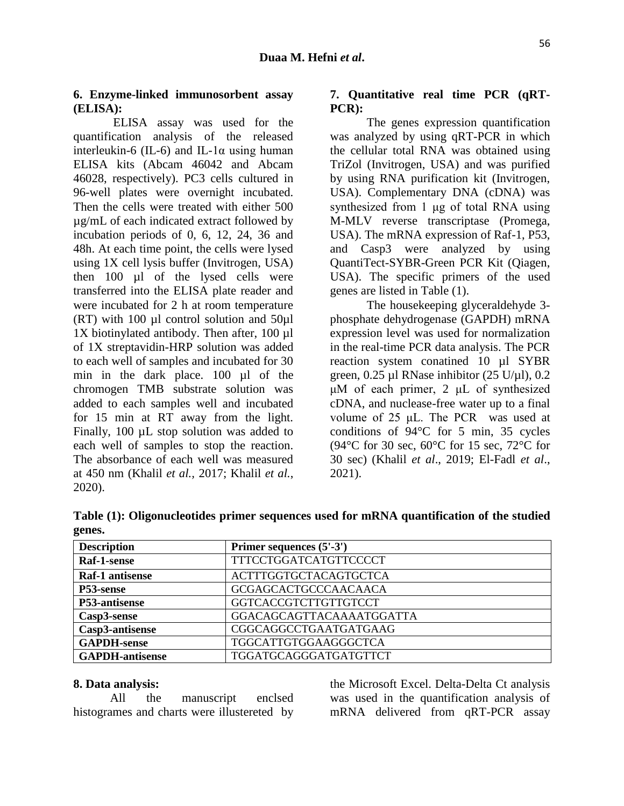### **6. Enzyme-linked immunosorbent assay (ELISA):**

ELISA assay was used for the quantification analysis of the released interleukin-6 (IL-6) and IL-1 $\alpha$  using human ELISA kits (Abcam 46042 and Abcam 46028, respectively). PC3 cells cultured in 96-well plates were overnight incubated. Then the cells were treated with either 500 µg/mL of each indicated extract followed by incubation periods of 0, 6, 12, 24, 36 and 48h. At each time point, the cells were lysed using 1X cell lysis buffer (Invitrogen, USA) then 100 µl of the lysed cells were transferred into the ELISA plate reader and were incubated for 2 h at room temperature (RT) with 100 µl control solution and 50µl 1X biotinylated antibody. Then after, 100 µl of 1X streptavidin-HRP solution was added to each well of samples and incubated for 30 min in the dark place. 100 µl of the chromogen TMB substrate solution was added to each samples well and incubated for 15 min at RT away from the light. Finally, 100 µL stop solution was added to each well of samples to stop the reaction. The absorbance of each well was measured at 450 nm (Khalil *et al.,* 2017; Khalil *et al.*, 2020).

# **7. Quantitative real time PCR (qRT-PCR):**

The genes expression quantification was analyzed by using qRT-PCR in which the cellular total RNA was obtained using TriZol (Invitrogen, USA) and was purified by using RNA purification kit (Invitrogen, USA). Complementary DNA (cDNA) was synthesized from 1 μg of total RNA using M-MLV reverse transcriptase (Promega, USA). The mRNA expression of Raf-1, P53, and Casp3 were analyzed by using QuantiTect-SYBR-Green PCR Kit (Qiagen, USA). The specific primers of the used genes are listed in Table (1).

The housekeeping glyceraldehyde 3 phosphate dehydrogenase (GAPDH) mRNA expression level was used for normalization in the real-time PCR data analysis. The PCR reaction system conatined 10 µl SYBR green,  $0.25$  µl RNase inhibitor  $(25 \text{ U/µl})$ ,  $0.2$ μM of each primer, 2 μL of synthesized cDNA, and nuclease-free water up to a final volume of 25 μL. The PCR was used at conditions of 94°C for 5 min, 35 cycles (94 $\rm{°C}$  for 30 sec, 60 $\rm{°C}$  for 15 sec, 72 $\rm{°C}$  for 30 sec) (Khalil *et al*., 2019; El-Fadl *et al*., 2021).

| <b>Description</b>     | Primer sequences (5'-3')     |
|------------------------|------------------------------|
| Raf-1-sense            | <b>TTTCCTGGATCATGTTCCCCT</b> |
| Raf-1 antisense        | <b>ACTTTGGTGCTACAGTGCTCA</b> |
| P53-sense              | <b>GCGAGCACTGCCCAACAACA</b>  |
| P53-antisense          | GGTCACCGTCTTGTTGTCCT         |
| Casp3-sense            | GGACAGCAGTTACAAAATGGATTA     |
| Casp3-antisense        | CGGCAGGCCTGAATGATGAAG        |
| <b>GAPDH-sense</b>     | TGGCATTGTGGAAGGGCTCA         |
| <b>GAPDH-antisense</b> | TGGATGCAGGGATGATGTTCT        |

**Table (1): Oligonucleotides primer sequences used for mRNA quantification of the studied genes.**

#### **8. Data analysis:**

 All the manuscript enclsed histogrames and charts were illustereted by

the Microsoft Excel. Delta-Delta Ct analysis was used in the quantification analysis of mRNA delivered from qRT-PCR assay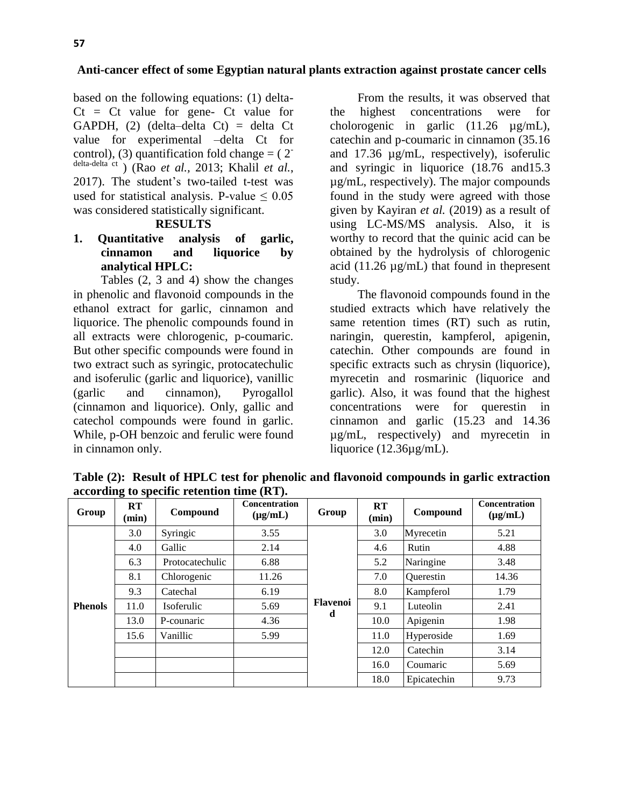based on the following equations: (1) delta- $C_t$  =  $C_t$  value for gene-  $C_t$  value for GAPDH, (2) (delta–delta Ct) = delta Ct value for experimental –delta Ct for control), (3) quantification fold change  $=$  (2<sup>-</sup> delta-delta ct ) (Rao *et al.,* 2013; Khalil *et al.*, 2017). The student's two-tailed t-test was used for statistical analysis. P-value  $\leq 0.05$ was considered statistically significant.

### **RESULTS**

# **1. Quantitative analysis of garlic, cinnamon and liquorice by analytical HPLC:**

Tables (2, 3 and 4) show the changes in phenolic and flavonoid compounds in the ethanol extract for garlic, cinnamon and liquorice. The phenolic compounds found in all extracts were chlorogenic, p-coumaric. But other specific compounds were found in two extract such as syringic, protocatechulic and isoferulic (garlic and liquorice), vanillic (garlic and cinnamon), Pyrogallol (cinnamon and liquorice). Only, gallic and catechol compounds were found in garlic. While, p-OH benzoic and ferulic were found in cinnamon only.

From the results, it was observed that the highest concentrations were for cholorogenic in garlic (11.26 µg/mL), catechin and p-coumaric in cinnamon (35.16 and 17.36 µg/mL, respectively), isoferulic and syringic in liquorice (18.76 and15.3 µg/mL, respectively). The major compounds found in the study were agreed with those given by Kayiran *et al.* (2019) as a result of using LC-MS/MS analysis. Also, it is worthy to record that the quinic acid can be obtained by the hydrolysis of chlorogenic acid (11.26  $\mu$ g/mL) that found in thepresent study.

The flavonoid compounds found in the studied extracts which have relatively the same retention times (RT) such as rutin, naringin, querestin, kampferol, apigenin, catechin. Other compounds are found in specific extracts such as chrysin (liquorice), myrecetin and rosmarinic (liquorice and garlic). Also, it was found that the highest concentrations were for querestin in cinnamon and garlic (15.23 and 14.36 µg/mL, respectively) and myrecetin in liquorice (12.36µg/mL).

|                | $\frac{1}{2}$      |                 |                               |                 |             |             |                               |  |  |  |
|----------------|--------------------|-----------------|-------------------------------|-----------------|-------------|-------------|-------------------------------|--|--|--|
| Group          | <b>RT</b><br>(min) | Compound        | Concentration<br>$(\mu g/mL)$ | Group           | RT<br>(min) | Compound    | Concentration<br>$(\mu g/mL)$ |  |  |  |
|                | 3.0                | Syringic        | 3.55                          |                 | 3.0         | Myrecetin   | 5.21                          |  |  |  |
|                | 4.0                | Gallic          | 2.14                          |                 | 4.6         | Rutin       | 4.88                          |  |  |  |
| <b>Phenols</b> | 6.3                | Protocatechulic | 6.88                          |                 | 5.2         | Naringine   | 3.48                          |  |  |  |
|                | 8.1                | Chlorogenic     | 11.26                         |                 | 7.0         | Querestin   | 14.36                         |  |  |  |
|                | 9.3                | Catechal        | 6.19                          |                 |             | Kampferol   | 1.79                          |  |  |  |
|                | 11.0               | Isoferulic      | 5.69                          | <b>Flavenoi</b> | 9.1         | Luteolin    | 2.41                          |  |  |  |
|                | 13.0               | P-counaric      | 4.36                          | d               | 10.0        | Apigenin    | 1.98                          |  |  |  |
|                | 15.6               | Vanillic        | 5.99                          |                 | 11.0        | Hyperoside  | 1.69                          |  |  |  |
|                |                    |                 |                               |                 | 12.0        | Catechin    | 3.14                          |  |  |  |
|                |                    |                 |                               |                 | 16.0        | Coumaric    | 5.69                          |  |  |  |
|                |                    |                 |                               |                 | 18.0        | Epicatechin | 9.73                          |  |  |  |

**Table (2): Result of HPLC test for phenolic and flavonoid compounds in garlic extraction according to specific retention time (RT).**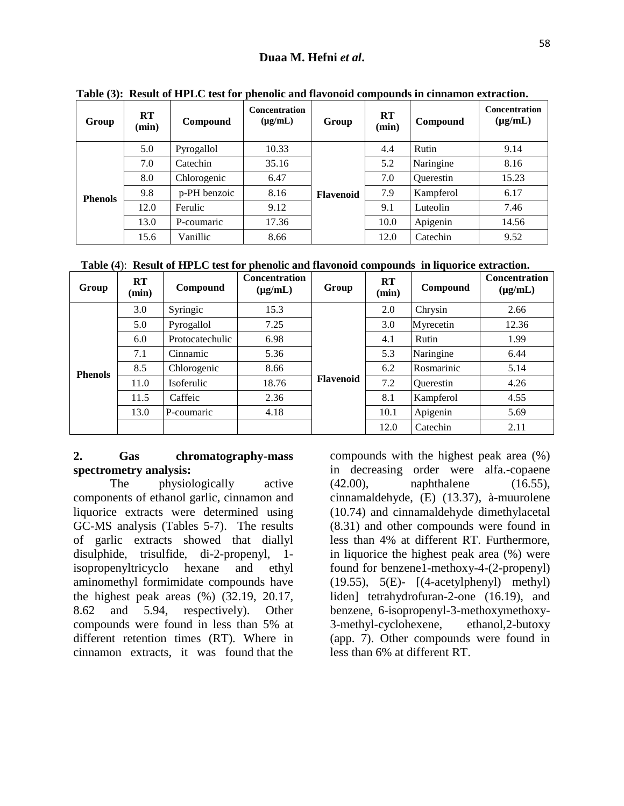| Group          | RT<br>(min) | Compound     | <b>Concentration</b><br>$(\mu g/mL)$ | Group            | RT<br>(min) | Compound         | <b>Concentration</b><br>$(\mu g/mL)$ |
|----------------|-------------|--------------|--------------------------------------|------------------|-------------|------------------|--------------------------------------|
|                | 5.0         | Pyrogallol   | 10.33                                |                  | 4.4         | Rutin            | 9.14                                 |
| <b>Phenols</b> | 7.0         | Catechin     | 35.16                                |                  | 5.2         | Naringine        | 8.16                                 |
|                | 8.0         | Chlorogenic  | 6.47                                 |                  | 7.0         | <b>Ouerestin</b> | 15.23                                |
|                | 9.8         | p-PH benzoic | 8.16                                 | <b>Flavenoid</b> | 7.9         | Kampferol        | 6.17                                 |
|                | 12.0        | Ferulic      | 9.12                                 |                  | 9.1         | Luteolin         | 7.46                                 |
|                | 13.0        | P-coumaric   | 17.36                                |                  | 10.0        | Apigenin         | 14.56                                |
|                | 15.6        | Vanillic     | 8.66                                 |                  | 12.0        | Catechin         | 9.52                                 |

**Table (3): Result of HPLC test for phenolic and flavonoid compounds in cinnamon extraction.**

 **Table (4**): **Result of HPLC test for phenolic and flavonoid compounds in liquorice extraction.**

| Group          | RT<br>(min)                 | Compound         | <b>Concentration</b><br>$(\mu g/mL)$ | Group            | RT<br>(min) | Compound   | <b>Concentration</b><br>$(\mu g/mL)$ |
|----------------|-----------------------------|------------------|--------------------------------------|------------------|-------------|------------|--------------------------------------|
|                | 3.0                         | Syringic         | 15.3                                 |                  | 2.0         | Chrysin    | 2.66                                 |
|                | 5.0                         | Pyrogallol       | 7.25                                 |                  | 3.0         | Myrecetin  | 12.36                                |
| <b>Phenols</b> | 6.0                         | Protocatechulic  | 6.98                                 |                  | 4.1         | Rutin      | 1.99                                 |
|                | 7.1                         | Cinnamic         | 5.36                                 |                  | 5.3         | Naringine  | 6.44                                 |
|                | 8.5                         | Chlorogenic      | 8.66                                 |                  | 6.2         | Rosmarinic | 5.14                                 |
|                | 18.76<br>11.0<br>Isoferulic | <b>Flavenoid</b> | 7.2                                  | <b>Ouerestin</b> | 4.26        |            |                                      |
|                | 11.5                        | Caffeic          | 2.36                                 |                  | 8.1         | Kampferol  | 4.55                                 |
|                | 13.0                        | P-coumaric       | 4.18                                 |                  | 10.1        | Apigenin   | 5.69                                 |
|                |                             |                  |                                      |                  | 12.0        | Catechin   | 2.11                                 |

# **2. Gas chromatography-mass spectrometry analysis:**

The physiologically active components of ethanol garlic, cinnamon and liquorice extracts were determined using GC-MS analysis (Tables 5-7). The results of garlic extracts showed that diallyl disulphide, trisulfide, di-2-propenyl, 1 isopropenyltricyclo hexane and ethyl aminomethyl formimidate compounds have the highest peak areas (%) (32.19, 20.17, 8.62 and 5.94, respectively). Other compounds were found in less than 5% at different retention times (RT). Where in cinnamon extracts, it was found that the

compounds with the highest peak area (%) in decreasing order were alfa.-copaene (42.00), naphthalene (16.55), cinnamaldehyde, (E) (13.37), à-muurolene (10.74) and cinnamaldehyde dimethylacetal (8.31) and other compounds were found in less than 4% at different RT. Furthermore, in liquorice the highest peak area (%) were found for benzene1-methoxy-4-(2-propenyl) (19.55), 5(E)- [(4-acetylphenyl) methyl) liden] tetrahydrofuran-2-one (16.19), and benzene, 6-isopropenyl-3-methoxymethoxy-3-methyl-cyclohexene, ethanol,2-butoxy (app. 7). Other compounds were found in less than 6% at different RT.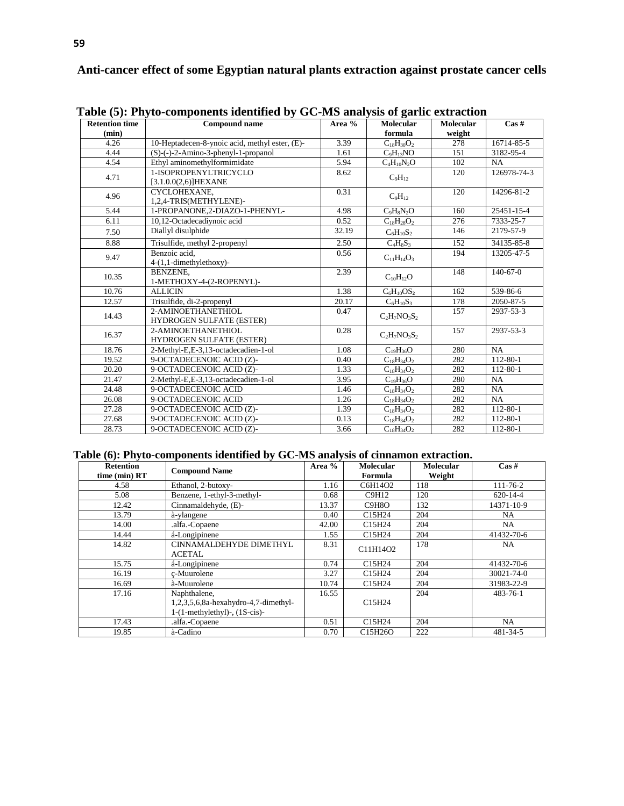| <b>Retention time</b> | radic $\mathcal{O}_I$ , radical components recurring $\mathcal{O}_I$ of $\mathcal{O}_I$ and $\mathcal{O}_I$ are $\mathcal{O}_I$<br><b>Compound name</b> | Area % | <b>Molecular</b>       | <b>Molecular</b> | $\operatorname{Cas}\nolimits \#$ |
|-----------------------|---------------------------------------------------------------------------------------------------------------------------------------------------------|--------|------------------------|------------------|----------------------------------|
| (min)                 |                                                                                                                                                         |        | formula                | weight           |                                  |
| 4.26                  | 10-Heptadecen-8-ynoic acid, methyl ester, (E)-                                                                                                          | 3.39   | $C_{18}H_{30}O_2$      | 278              | 16714-85-5                       |
| 4.44                  | $(S)$ - $(-)$ -2-Amino-3-phenyl-1-propanol                                                                                                              | 1.61   | $C_9H_{13}NO$          | 151              | 3182-95-4                        |
| 4.54                  | Ethyl aminomethylformimidate                                                                                                                            | 5.94   | $C_4H_{10}N_2O$        | 102              | NA                               |
| 4.71                  | 1-ISOPROPENYLTRICYCLO<br>$[3.1.0.0(2.6)]$ HEXANE                                                                                                        | 8.62   | $C_9H_{12}$            | 120              | 126978-74-3                      |
| 4.96                  | CYCLOHEXANE.<br>1,2,4-TRIS(METHYLENE)-                                                                                                                  | 0.31   | $C_9H_{12}$            | 120              | 14296-81-2                       |
| 5.44                  | 1-PROPANONE,2-DIAZO-1-PHENYL-                                                                                                                           | 4.98   | $C_9H_8N_2O$           | 160              | 25451-15-4                       |
| 6.11                  | 10,12-Octadecadiynoic acid                                                                                                                              | 0.52   | $C_{18}H_{28}O_2$      | 276              | 7333-25-7                        |
| 7.50                  | Diallyl disulphide                                                                                                                                      | 32.19  | $C_6H_{10}S_2$         | 146              | 2179-57-9                        |
| 8.88                  | Trisulfide, methyl 2-propenyl                                                                                                                           | 2.50   | $C_4H_8S_3$            | 152              | 34135-85-8                       |
| 9.47                  | Benzoic acid.<br>$4-(1,1$ -dimethylethoxy)-                                                                                                             | 0.56   | $C_{11}H_{14}O_3$      | 194              | 13205-47-5                       |
| 10.35                 | <b>BENZENE.</b><br>1-METHOXY-4-(2-ROPENYL)-                                                                                                             | 2.39   | $C_{10}H_{12}O$        | 148              | $140-67-0$                       |
| 10.76                 | <b>ALLICIN</b>                                                                                                                                          | 1.38   | $C_6H_{10}OS_2$        | 162              | 539-86-6                         |
| 12.57                 | Trisulfide, di-2-propenyl                                                                                                                               | 20.17  | $C_6H_{10}S_3$         | 178              | 2050-87-5                        |
| 14.43                 | 2-AMINOETHANETHIOL<br>HYDROGEN SULFATE (ESTER)                                                                                                          | 0.47   | $C_2H_7NO_3S_2$        | 157              | 2937-53-3                        |
| 16.37                 | 2-AMINOETHANETHIOL<br><b>HYDROGEN SULFATE (ESTER)</b>                                                                                                   | 0.28   | $C_2H_7NO_3S_2$        | 157              | 2937-53-3                        |
| 18.76                 | 2-Methyl-E,E-3,13-octadecadien-1-ol                                                                                                                     | 1.08   | $C_{19}H_{36}O$        | 280              | NA                               |
| 19.52                 | 9-OCTADECENOIC ACID (Z)-                                                                                                                                | 0.40   | $C_{18}H_{34}O_2$      | 282              | 112-80-1                         |
| 20.20                 | 9-OCTADECENOIC ACID (Z)-                                                                                                                                | 1.33   | $C_{18}H_{34}O_2$      | 282              | 112-80-1                         |
| 21.47                 | 2-Methyl-E,E-3,13-octadecadien-1-ol                                                                                                                     | 3.95   | $C_{19}H_{36}O$        | 280              | NA                               |
| 24.48                 | 9-OCTADECENOIC ACID                                                                                                                                     | 1.46   | $C_{18}H_{34}O_2$      | 282              | NA                               |
| 26.08                 | 9-OCTADECENOIC ACID                                                                                                                                     | 1.26   | $\rm{C}_{18}H_{34}O_2$ | 282              | NA                               |
| 27.28                 | 9-OCTADECENOIC ACID (Z)-                                                                                                                                | 1.39   | $C_{18}H_{34}O_2$      | 282              | 112-80-1                         |
| 27.68                 | 9-OCTADECENOIC ACID (Z)-                                                                                                                                | 0.13   | $C_{18}H_{34}O_2$      | 282              | 112-80-1                         |
| 28.73                 | 9-OCTADECENOIC ACID (Z)-                                                                                                                                | 3.66   | $C_{18}H_{34}O_2$      | 282              | $112 - 80 - 1$                   |

**Table (5): Phyto-components identified by GC-MS analysis of garlic extraction**

#### **Table (6): Phyto-components identified by GC-MS analysis of cinnamon extraction.**

| <b>Retention</b><br>time (min) RT | <b>Compound Name</b>                                                                           | Area % | <b>Molecular</b><br>Formula     | <b>Molecular</b><br>Weight | $\cos \#$      |
|-----------------------------------|------------------------------------------------------------------------------------------------|--------|---------------------------------|----------------------------|----------------|
| 4.58                              | Ethanol, 2-butoxy-                                                                             | 1.16   | C6H14O2                         | 118                        | $111 - 76 - 2$ |
| 5.08                              | Benzene, 1-ethyl-3-methyl-                                                                     | 0.68   | C9H12                           | 120                        | $620 - 14 - 4$ |
| 12.42                             | Cinnamaldehyde, (E)-                                                                           | 13.37  | C9H8O                           | 132                        | 14371-10-9     |
| 13.79                             | à-ylangene                                                                                     | 0.40   | C <sub>15</sub> H <sub>24</sub> | 204                        | NA             |
| 14.00                             | .alfa.-Copaene                                                                                 | 42.00  | C15H24                          | 204                        | NA.            |
| 14.44                             | á-Longipinene                                                                                  | 1.55   | C <sub>15</sub> H <sub>24</sub> | 204                        | 41432-70-6     |
| 14.82                             | CINNAMALDEHYDE DIMETHYL<br><b>ACETAL</b>                                                       | 8.31   | C11H14O2                        | 178                        | NA.            |
| 15.75                             | á-Longipinene                                                                                  | 0.74   | C15H24                          | 204                        | 41432-70-6     |
| 16.19                             | c-Muurolene                                                                                    | 3.27   | C <sub>15</sub> H <sub>24</sub> | 204                        | 30021-74-0     |
| 16.69                             | à-Muurolene                                                                                    | 10.74  | C <sub>15</sub> H <sub>24</sub> | 204                        | 31983-22-9     |
| 17.16                             | Naphthalene,<br>$1,2,3,5,6,8a$ -hexahydro-4,7-dimethyl-<br>$1-(1-methylethyl)$ -, $(1S-cis)$ - | 16.55  | C15H24                          | 204                        | $483 - 76 - 1$ |
| 17.43                             | .alfa.-Copaene                                                                                 | 0.51   | C15H24                          | 204                        | NA             |
| 19.85                             | à-Cadino                                                                                       | 0.70   | C15H26O                         | 222                        | 481-34-5       |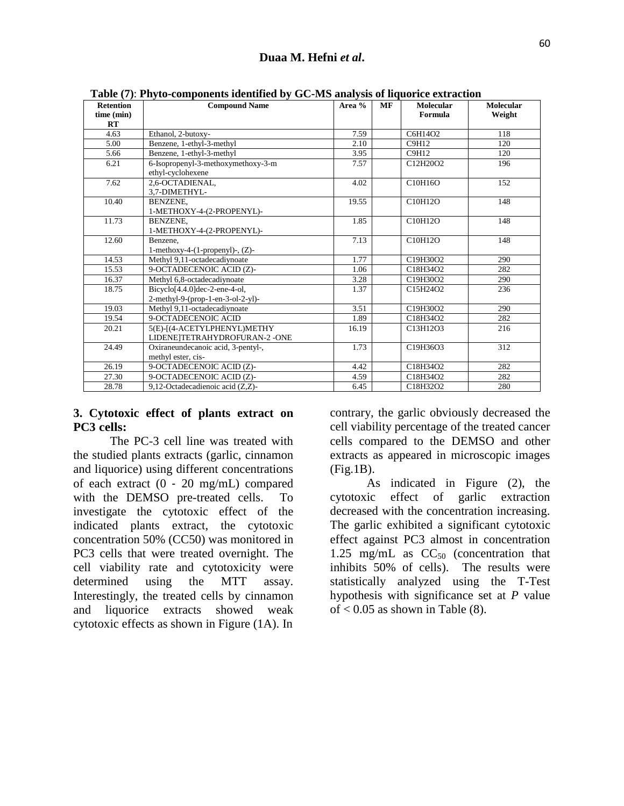| <b>Retention</b> | <b>Compound Name</b>                                     | Area % | <b>MF</b> | <b>Molecular</b> | <b>Molecular</b> |
|------------------|----------------------------------------------------------|--------|-----------|------------------|------------------|
| time (min)       |                                                          |        |           | Formula          | Weight           |
| RT               |                                                          |        |           |                  |                  |
| 4.63             | Ethanol, 2-butoxy-                                       | 7.59   |           | C6H14O2          | 118              |
| 5.00             | Benzene, 1-ethyl-3-methyl                                | 2.10   |           | C9H12            | 120              |
| 5.66             | Benzene, 1-ethyl-3-methyl                                | 3.95   |           | <b>C9H12</b>     | 120              |
| 6.21             | 6-Isopropenyl-3-methoxymethoxy-3-m<br>ethyl-cyclohexene  | 7.57   |           | C12H20O2         | 196              |
| 7.62             | 2.6-OCTADIENAL.<br>3.7-DIMETHYL-                         | 4.02   |           | C10H16O          | 152              |
| 10.40            | BENZENE,<br>1-METHOXY-4-(2-PROPENYL)-                    | 19.55  |           | C10H12O          | 148              |
| 11.73            | BENZENE,<br>1-METHOXY-4-(2-PROPENYL)-                    | 1.85   |           | C10H12O          | 148              |
| 12.60            | Benzene.                                                 | 7.13   |           | C10H12O          | 148              |
|                  | 1-methoxy-4- $(1$ -propenyl $)$ -, $(Z)$ -               |        |           |                  |                  |
| 14.53            | Methyl 9,11-octadecadiynoate                             | 1.77   |           | C19H30O2         | 290              |
| 15.53            | 9-OCTADECENOIC ACID (Z)-                                 | 1.06   |           | C18H34O2         | 282              |
| 16.37            | Methyl 6,8-octadecadiynoate                              | 3.28   |           | C19H30O2         | 290              |
| 18.75            | Bicyclo <sup>[4.4.0]</sup> dec-2-ene-4-ol,               | 1.37   |           | C15H24O2         | 236              |
|                  | $2$ -methyl-9-(prop-1-en-3-ol-2-yl)-                     |        |           |                  |                  |
| 19.03            | Methyl 9,11-octadecadiynoate                             | 3.51   |           | C19H30O2         | 290              |
| 19.54            | 9-OCTADECENOIC ACID                                      | 1.89   |           | C18H34O2         | 282              |
| 20.21            | 5(E)-[(4-ACETYLPHENYL)METHY                              | 16.19  |           | C13H12O3         | 216              |
|                  | LIDENE TETRAHYDROFURAN-2-ONE                             |        |           |                  |                  |
| 24.49            | Oxiraneundecanoic acid, 3-pentyl-,<br>methyl ester, cis- | 1.73   |           | C19H36O3         | 312              |
| 26.19            | 9-OCTADECENOIC ACID (Z)-                                 | 4.42   |           | C18H34O2         | 282              |
| 27.30            | 9-OCTADECENOIC ACID (Z)-                                 | 4.59   |           | C18H34O2         | 282              |
| 28.78            | 9,12-Octadecadienoic acid (Z,Z)-                         | 6.45   |           | C18H32O2         | 280              |

 **Table (7)**: **Phyto-components identified by GC-MS analysis of liquorice extraction**

### **3. Cytotoxic effect of plants extract on PC3 cells:**

The PC-3 cell line was treated with the studied plants extracts (garlic, cinnamon and liquorice) using different concentrations of each extract (0 ‐ 20 mg/mL) compared with the DEMSO pre-treated cells. To investigate the cytotoxic effect of the indicated plants extract, the cytotoxic concentration 50% (CC50) was monitored in PC3 cells that were treated overnight. The cell viability rate and cytotoxicity were determined using the MTT assay. Interestingly, the treated cells by cinnamon and liquorice extracts showed weak cytotoxic effects as shown in Figure (1A). In

contrary, the garlic obviously decreased the cell viability percentage of the treated cancer cells compared to the DEMSO and other extracts as appeared in microscopic images (Fig.1B).

As indicated in Figure (2), the cytotoxic effect of garlic extraction decreased with the concentration increasing. The garlic exhibited a significant cytotoxic effect against PC3 almost in concentration 1.25 mg/mL as  $CC_{50}$  (concentration that inhibits 50% of cells). The results were statistically analyzed using the T-Test hypothesis with significance set at *P* value of  $< 0.05$  as shown in Table (8).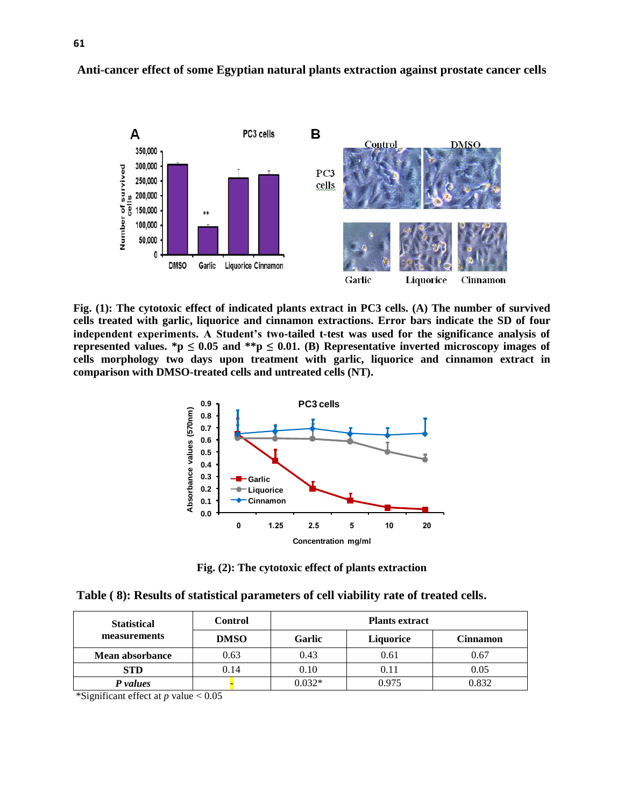

**Fig. (1): The cytotoxic effect of indicated plants extract in PC3 cells. (A) The number of survived cells treated with garlic, liquorice and cinnamon extractions. Error bars indicate the SD of four independent experiments. A Student's two-tailed t-test was used for the significance analysis of**  represented values. \*p  $\leq 0.05$  and \*\*p  $\leq 0.01$ . (B) Representative inverted microscopy images of **cells morphology two days upon treatment with garlic, liquorice and cinnamon extract in comparison with DMSO-treated cells and untreated cells (NT).**



**Fig. (2): The cytotoxic effect of plants extraction**

|  |  | Table (8): Results of statistical parameters of cell viability rate of treated cells. |
|--|--|---------------------------------------------------------------------------------------|
|  |  |                                                                                       |

| <b>Statistical</b>     | <b>Control</b> | <b>Plants extract</b> |                  |          |  |  |  |
|------------------------|----------------|-----------------------|------------------|----------|--|--|--|
| measurements           | <b>DMSO</b>    | Garlic                | <b>Liquorice</b> | Cinnamon |  |  |  |
| <b>Mean absorbance</b> | 0.63           | 0.43                  | 0.61             | 0.67     |  |  |  |
| <b>STD</b>             | 0.14           | 0.10                  | 0.11             | 0.05     |  |  |  |
| P values               |                | $0.032*$              | 0.975            | 0.832    |  |  |  |

\*Significant effect at *p* value < 0.05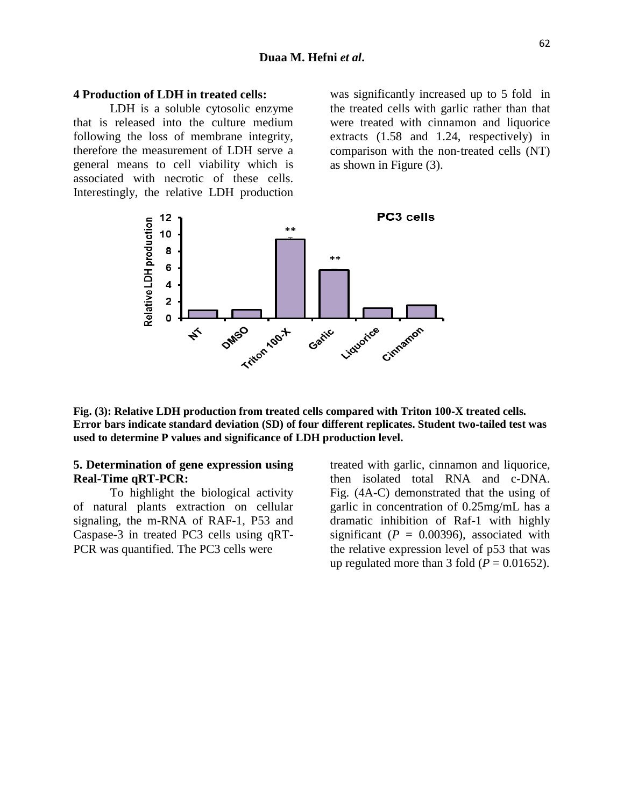#### **4 Production of LDH in treated cells:**

LDH is a soluble cytosolic enzyme that is released into the culture medium following the loss of membrane integrity, therefore the measurement of LDH serve a general means to cell viability which is associated with necrotic of these cells. Interestingly, the relative LDH production

was significantly increased up to 5 fold in the treated cells with garlic rather than that were treated with cinnamon and liquorice extracts (1.58 and 1.24, respectively) in comparison with the non‐treated cells (NT) as shown in Figure (3).



**Fig. (3): Relative LDH production from treated cells compared with Triton 100**‐**X treated cells. Error bars indicate standard deviation (SD) of four different replicates. Student two**‐**tailed test was used to determine P values and significance of LDH production level.**

### **5. Determination of gene expression using Real-Time qRT-PCR:**

To highlight the biological activity of natural plants extraction on cellular signaling, the m-RNA of RAF-1, P53 and Caspase-3 in treated PC3 cells using qRT-PCR was quantified. The PC3 cells were

treated with garlic, cinnamon and liquorice, then isolated total RNA and c-DNA. Fig. (4A-C) demonstrated that the using of garlic in concentration of 0.25mg/mL has a dramatic inhibition of Raf-1 with highly significant ( $P = 0.00396$ ), associated with the relative expression level of p53 that was up regulated more than 3 fold  $(P = 0.01652)$ .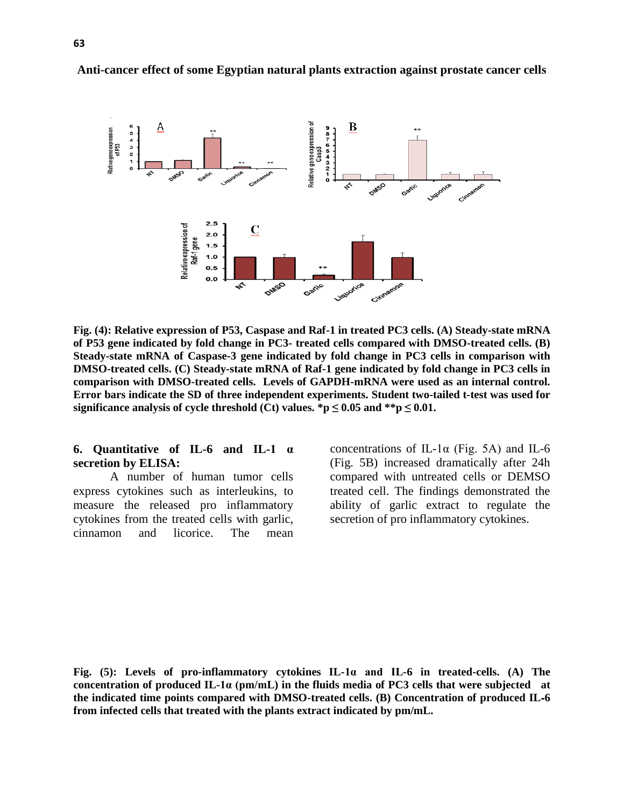

**Fig. (4): Relative expression of P53, Caspase and Raf-1 in treated PC3 cells. (A) Steady-state mRNA of P53 gene indicated by fold change in PC3- treated cells compared with DMSO-treated cells. (B) Steady-state mRNA of Caspase-3 gene indicated by fold change in PC3 cells in comparison with DMSO-treated cells. (C) Steady-state mRNA of Raf-1 gene indicated by fold change in PC3 cells in comparison with DMSO-treated cells. Levels of GAPDH-mRNA were used as an internal control. Error bars indicate the SD of three independent experiments. Student two-tailed t-test was used for significance analysis of cycle threshold (Ct) values.**  ${}^*p \leq 0.05$  and  ${}^*{}^*p \leq 0.01$ .

#### **6. Quantitative of IL-6 and IL-1 α secretion by ELISA:**

A number of human tumor cells express cytokines such as interleukins, to measure the released pro inflammatory cytokines from the treated cells with garlic, cinnamon and licorice. The mean

concentrations of IL-1α (Fig. 5A) and IL-6 (Fig. 5B) increased dramatically after 24h compared with untreated cells or DEMSO treated cell. The findings demonstrated the ability of garlic extract to regulate the secretion of pro inflammatory cytokines.

**Fig. (5): Levels of pro-inflammatory cytokines IL-1α and IL-6 in treated-cells. (A) The concentration of produced IL-1α (pm/mL) in the fluids media of PC3 cells that were subjected at the indicated time points compared with DMSO-treated cells. (B) Concentration of produced IL**‐**6 from infected cells that treated with the plants extract indicated by pm/mL.**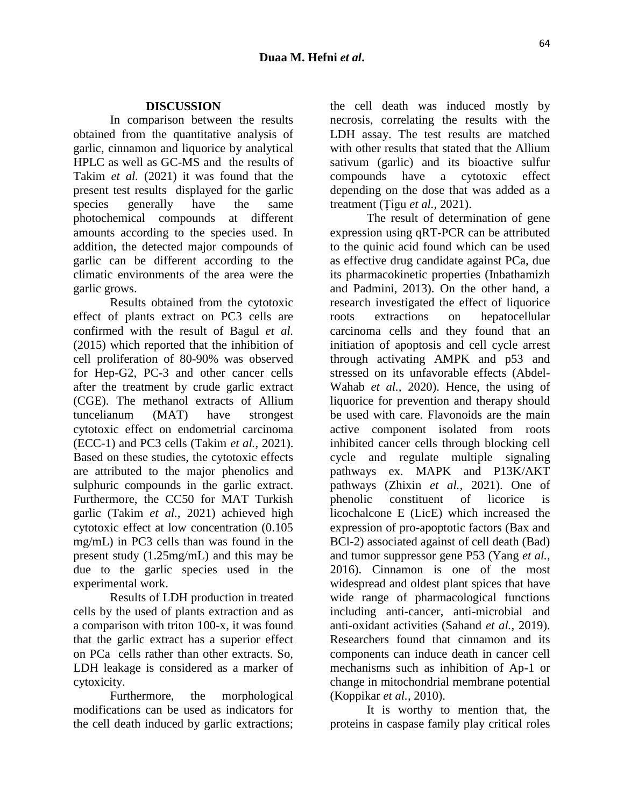#### **DISCUSSION**

In comparison between the results obtained from the quantitative analysis of garlic, cinnamon and liquorice by analytical HPLC as well as GC-MS and the results of Takim *et al.* (2021) it was found that the present test results displayed for the garlic species generally have the same photochemical compounds at different amounts according to the species used. In addition, the detected major compounds of garlic can be different according to the climatic environments of the area were the garlic grows.

 Results obtained from the cytotoxic effect of plants extract on PC3 cells are confirmed with the result of Bagul *et al.* (2015) which reported that the inhibition of cell proliferation of 80-90% was observed for Hep-G2, PC-3 and other cancer cells after the treatment by crude garlic extract (CGE). The methanol extracts of Allium tuncelianum (MAT) have strongest cytotoxic effect on endometrial carcinoma (ECC-1) and PC3 cells (Takim *et al.,* 2021). Based on these studies, the cytotoxic effects are attributed to the major phenolics and sulphuric compounds in the garlic extract. Furthermore, the CC50 for MAT Turkish garlic (Takim *et al.,* 2021) achieved high cytotoxic effect at low concentration (0.105 mg/mL) in PC3 cells than was found in the present study (1.25mg/mL) and this may be due to the garlic species used in the experimental work.

 Results of LDH production in treated cells by the used of plants extraction and as a comparison with triton 100-x, it was found that the garlic extract has a superior effect on PCa cells rather than other extracts. So, LDH leakage is considered as a marker of cytoxicity.

Furthermore, the morphological modifications can be used as indicators for the cell death induced by garlic extractions;

the cell death was induced mostly by necrosis, correlating the results with the LDH assay. The test results are matched with other results that stated that the Allium sativum (garlic) and its bioactive sulfur compounds have a cytotoxic effect depending on the dose that was added as a treatment (Țigu *et al.,* 2021).

 The result of determination of gene expression using qRT-PCR can be attributed to the quinic acid found which can be used as effective drug candidate against PCa, due its pharmacokinetic properties (Inbathamizh and Padmini, 2013). On the other hand, a research investigated the effect of liquorice roots extractions on hepatocellular carcinoma cells and they found that an initiation of apoptosis and cell cycle arrest through activating AMPK and p53 and stressed on its unfavorable effects (Abdel-Wahab *et al.,* 2020). Hence, the using of liquorice for prevention and therapy should be used with care. Flavonoids are the main active component isolated from roots inhibited cancer cells through blocking cell cycle and regulate multiple signaling pathways ex. MAPK and P13K/AKT pathways (Zhixin *et al.,* 2021). One of phenolic constituent of licorice is licochalcone E (LicE) which increased the expression of pro-apoptotic factors (Bax and BCl-2) associated against of cell death (Bad) and tumor suppressor gene P53 (Yang *et al.,* 2016). Cinnamon is one of the most widespread and oldest plant spices that have wide range of pharmacological functions including anti-cancer, anti-microbial and anti-oxidant activities (Sahand *et al.,* 2019). Researchers found that cinnamon and its components can induce death in cancer cell mechanisms such as inhibition of Ap-1 or change in mitochondrial membrane potential (Koppikar *et al.,* 2010).

 It is worthy to mention that, the proteins in caspase family play critical roles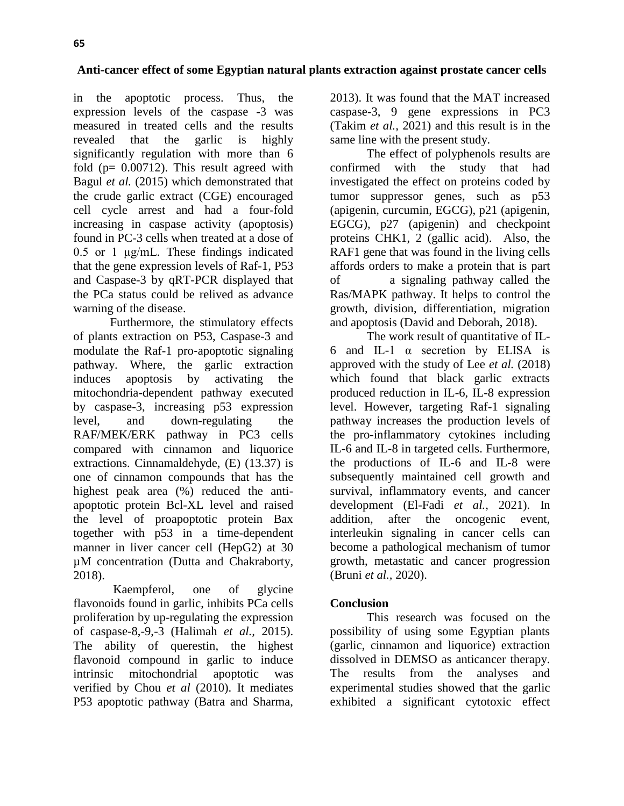in the apoptotic process. Thus, the expression levels of the caspase -3 was measured in treated cells and the results revealed that the garlic is highly significantly regulation with more than 6 fold (p= 0.00712). This result agreed with Bagul *et al.* (2015) which demonstrated that the crude garlic extract (CGE) encouraged cell cycle arrest and had a four-fold increasing in caspase activity (apoptosis) found in PC-3 cells when treated at a dose of 0.5 or 1 μg/mL. These findings indicated that the gene expression levels of Raf-1, P53 and Caspase-3 by qRT-PCR displayed that the PCa status could be relived as advance warning of the disease.

Furthermore, the stimulatory effects of plants extraction on P53, Caspase-3 and modulate the Raf-1 pro‐apoptotic signaling pathway. Where, the garlic extraction induces apoptosis by activating the mitochondria-dependent pathway executed by caspase-3, increasing p53 expression level, and down-regulating the RAF/MEK/ERK pathway in PC3 cells compared with cinnamon and liquorice extractions. Cinnamaldehyde, (E) (13.37) is one of cinnamon compounds that has the highest peak area (%) reduced the antiapoptotic protein Bcl-XL level and raised the level of proapoptotic protein Bax together with p53 in a time-dependent manner in liver cancer cell (HepG2) at 30 µM concentration (Dutta and Chakraborty, 2018).

 Kaempferol, one of glycine flavonoids found in garlic, inhibits PCa cells proliferation by up-regulating the expression of caspase-8,-9,-3 (Halimah *et al.,* 2015). The ability of querestin, the highest flavonoid compound in garlic to induce intrinsic mitochondrial apoptotic was verified by Chou *et al* (2010). It mediates P53 apoptotic pathway (Batra and Sharma,

2013). It was found that the MAT increased caspase-3, 9 gene expressions in PC3 (Takim *et al.,* 2021) and this result is in the same line with the present study.

 The effect of polyphenols results are confirmed with the study that had investigated the effect on proteins coded by tumor suppressor genes, such as p53 (apigenin, curcumin, EGCG), p21 (apigenin, EGCG), p27 (apigenin) and checkpoint proteins CHK1, 2 (gallic acid). Also, the RAF1 gene that was found in the living cells affords orders to make a protein that is part of a signaling pathway called the Ras/MAPK pathway. It helps to control the growth, division, differentiation, migration and apoptosis (David and Deborah, 2018).

 The work result of quantitative of IL-6 and IL-1 α secretion by ELISA is approved with the study of Lee *et al.* (2018) which found that black garlic extracts produced reduction in IL-6, IL-8 expression level. However, targeting Raf-1 signaling pathway increases the production levels of the pro-inflammatory cytokines including IL-6 and IL-8 in targeted cells. Furthermore, the productions of IL-6 and IL-8 were subsequently maintained cell growth and survival, inflammatory events, and cancer development (El-Fadi *et al.,* 2021). In addition, after the oncogenic event, interleukin signaling in cancer cells can become a pathological mechanism of tumor growth, metastatic and cancer progression (Bruni *et al.,* 2020).

# **Conclusion**

This research was focused on the possibility of using some Egyptian plants (garlic, cinnamon and liquorice) extraction dissolved in DEMSO as anticancer therapy. The results from the analyses and experimental studies showed that the garlic exhibited a significant cytotoxic effect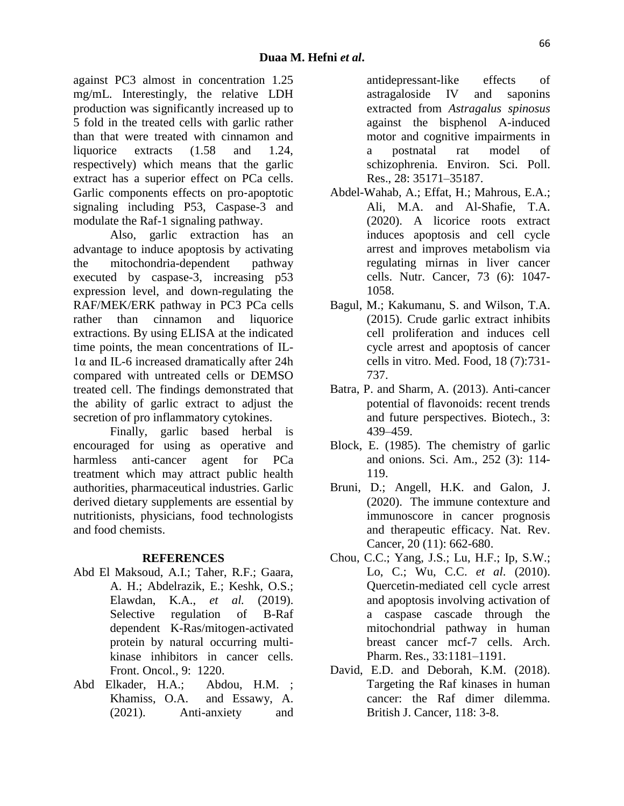against PC3 almost in concentration 1.25 mg/mL. Interestingly, the relative LDH production was significantly increased up to 5 fold in the treated cells with garlic rather than that were treated with cinnamon and liquorice extracts (1.58 and 1.24, respectively) which means that the garlic extract has a superior effect on PCa cells. Garlic components effects on pro‐apoptotic signaling including P53, Caspase-3 and modulate the Raf-1 signaling pathway.

Also, garlic extraction has an advantage to induce apoptosis by activating the mitochondria-dependent pathway executed by caspase-3, increasing p53 expression level, and down-regulating the RAF/MEK/ERK pathway in PC3 PCa cells rather than cinnamon and liquorice extractions. By using ELISA at the indicated time points, the mean concentrations of IL-1α and IL-6 increased dramatically after 24h compared with untreated cells or DEMSO treated cell. The findings demonstrated that the ability of garlic extract to adjust the secretion of pro inflammatory cytokines.

Finally, garlic based herbal is encouraged for using as operative and harmless anti-cancer agent for PCa treatment which may attract public health authorities, pharmaceutical industries. Garlic derived dietary supplements are essential by nutritionists, physicians, food technologists and food chemists.

### **REFERENCES**

- Abd El Maksoud, A.I.; Taher, R.F.; Gaara, A. H.; Abdelrazik, E.; Keshk, O.S.; Elawdan, K.A., *et al.* (2019). Selective regulation of B-Raf dependent K-Ras/mitogen-activated protein by natural occurring multikinase inhibitors in cancer cells. Front. Oncol., 9: 1220.
- Abd Elkader, [H.A.;](https://link.springer.com/article/10.1007/s11356-021-12927-5#auth-Heba_Tallah_Abd_Elrahim-Abd_Elkader) Abdou, [H.M.](https://link.springer.com/article/10.1007/s11356-021-12927-5#auth-Heba_Mohamed-Abdou) ; Khamiss, [O.A.](https://link.springer.com/article/10.1007/s11356-021-12927-5#auth-Omaima_Ahmed-Khamiss) and Essawy, [A.](https://link.springer.com/article/10.1007/s11356-021-12927-5#auth-Amina_Essawy-Essawy)  (2021). Anti-anxiety and

antidepressant-like effects of astragaloside IV and saponins extracted from *Astragalus spinosus* against the bisphenol A-induced motor and cognitive impairments in a postnatal rat model of schizophrenia. [Environ.](https://link.springer.com/journal/11356) Sci. Poll. [Res.,](https://link.springer.com/journal/11356) 28: 35171–35187.

- Abdel-Wahab, A.; Effat, H.; Mahrous, E.A.; Ali, M.A. and Al-Shafie, T.A. (2020). A licorice roots extract induces apoptosis and cell cycle arrest and improves metabolism via regulating mirnas in liver cancer cells. Nutr. Cancer, 73 (6): 1047- 1058.
- Bagul, M.; Kakumanu, S. and Wilson, T.A. (2015). Crude garlic extract inhibits cell proliferation and induces cell cycle arrest and apoptosis of cancer cells in vitro. Med. Food, 18 (7):731- 737.
- Batra, P. and Sharm, A. (2013). Anti-cancer potential of flavonoids: recent trends and future perspectives. Biotech., 3: 439–459.
- Block, E. (1985). The chemistry of garlic and onions. Sci. Am., 252 (3): 114- 119.
- Bruni, D.; Angell, H.K. and Galon, J. (2020). The immune contexture and immunoscore in cancer prognosis and therapeutic efficacy. Nat. Rev. Cancer, 20 (11): 662-680.
- Chou, C.C.; Yang, J.S.; Lu, H.F.; Ip, S.W.; Lo, C.; Wu, C.C. *et al*. (2010). Quercetin-mediated cell cycle arrest and apoptosis involving activation of a caspase cascade through the mitochondrial pathway in human breast cancer mcf-7 cells. Arch. Pharm. Res., 33:1181–1191.
- David, E.D. and Deborah, K.M. (2018). Targeting the Raf kinases in human cancer: the Raf dimer dilemma. British J. Cancer, 118: 3-8.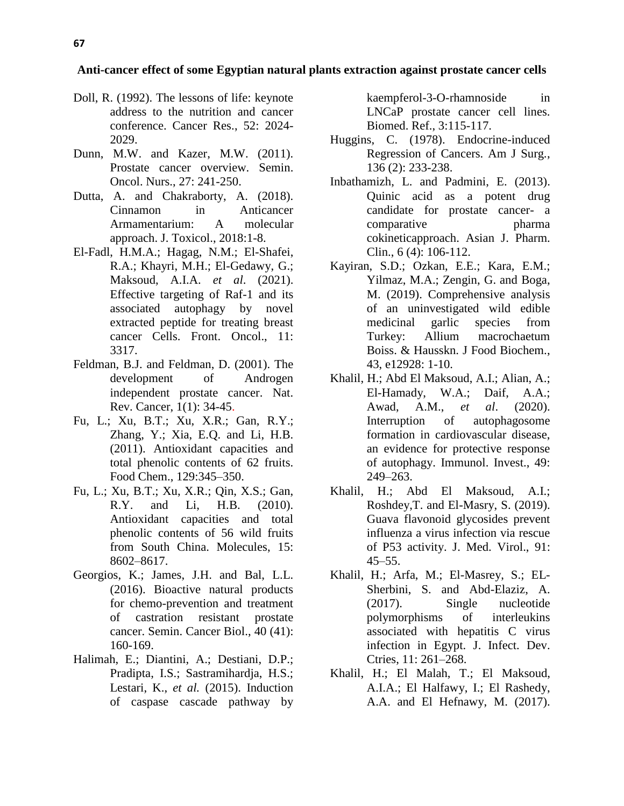- Doll, R. (1992). The lessons of life: keynote address to the nutrition and cancer conference. Cancer Res., 52: 2024- 2029.
- Dunn, M.W. and Kazer, M.W. (2011). Prostate cancer overview. Semin. Oncol. Nurs., 27: 241-250.
- Dutta, A. and Chakraborty, A. (2018). Cinnamon in Anticancer Armamentarium: A molecular approach. J. Toxicol., 2018:1-8.
- El-Fadl, H.M.A.; Hagag, N.M.; El-Shafei, R.A.; Khayri, M.H.; El-Gedawy, G.; Maksoud, A.I.A. *et al*. (2021). Effective targeting of Raf-1 and its associated autophagy by novel extracted peptide for treating breast cancer Cells. Front. Oncol., 11: 3317.
- Feldman, B.J. and Feldman, D. (2001). The development of Androgen independent prostate cancer. Nat. Rev. Cancer, 1(1): 34-45.
- Fu, L.; Xu, B.T.; Xu, X.R.; Gan, R.Y.; Zhang, Y.; Xia, E.Q. and Li, H.B. (2011). Antioxidant capacities and total phenolic contents of 62 fruits. Food Chem., 129:345–350.
- Fu, L.; Xu, B.T.; Xu, X.R.; Qin, X.S.; Gan, R.Y. and Li, H.B. (2010). Antioxidant capacities and total phenolic contents of 56 wild fruits from South China. Molecules, 15: 8602–8617.
- Georgios, K.; James, J.H. and Bal, L.L. (2016). Bioactive natural products for chemo-prevention and treatment of castration resistant prostate cancer. Semin. Cancer Biol., 40 (41): 160-169.
- Halimah, E.; Diantini, A.; Destiani, D.P.; Pradipta, I.S.; Sastramihardja, H.S.; Lestari, K., *et al.* (2015). Induction of caspase cascade pathway by

kaempferol-3-O-rhamnoside in LNCaP prostate cancer cell lines. Biomed. Ref., 3:115-117.

- Huggins, C. (1978). Endocrine-induced Regression of Cancers. Am J Surg., 136 (2): 233-238.
- Inbathamizh, L. and Padmini, E. (2013). Quinic acid as a potent drug candidate for prostate cancer- a comparative pharma cokineticapproach. Asian J. Pharm. Clin., 6 (4): 106-112.
- Kayiran, S.D.; Ozkan, E.E.; Kara, E.M.; Yilmaz, M.A.; Zengin, G. and Boga, M. (2019). Comprehensive analysis of an uninvestigated wild edible medicinal garlic species from Turkey: Allium macrochaetum Boiss. & Hausskn. J Food Biochem., 43, e12928: 1-10.
- Khalil, H.; Abd El Maksoud, A.I.; Alian, A.; El-Hamady, W.A.; Daif, A.A.; Awad, A.M., *et al*. (2020). Interruption of autophagosome formation in cardiovascular disease, an evidence for protective response of autophagy. Immunol. Invest., 49: 249–263.
- Khalil, H.; Abd El Maksoud, A.I.; Roshdey,T. and El-Masry, S. (2019). Guava flavonoid glycosides prevent influenza a virus infection via rescue of P53 activity. J. Med. Virol., 91:  $45 - 55$ .
- Khalil, H.; Arfa, M.; El-Masrey, S.; EL-Sherbini, S. and Abd-Elaziz, A. (2017). Single nucleotide polymorphisms of interleukins associated with hepatitis C virus infection in Egypt. J. Infect. Dev. Ctries, 11: 261–268.
- Khalil, H.; El Malah, T.; El Maksoud, A.I.A.; El Halfawy, I.; El Rashedy, A.A. and El Hefnawy, M. (2017).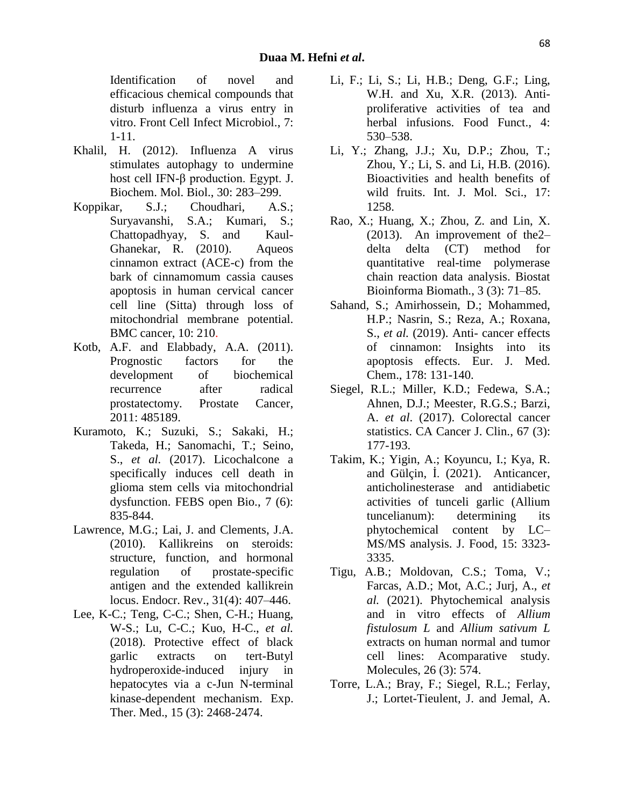Identification of novel and efficacious chemical compounds that disturb influenza a virus entry in vitro. Front Cell Infect Microbiol., 7: 1-11.

- Khalil, H. (2012). Influenza A virus stimulates autophagy to undermine host cell IFN-β production. Egypt. J. Biochem. Mol. Biol., 30: 283–299.
- Koppikar, S.J.; Choudhari, A.S.; Suryavanshi, S.A.; Kumari, S.; Chattopadhyay, S. and Kaul-Ghanekar, R. (2010). Aqueos cinnamon extract (ACE-c) from the bark of cinnamomum cassia causes apoptosis in human cervical cancer cell line (Sitta) through loss of mitochondrial membrane potential. BMC cancer, 10: 210.
- Kotb, A.F. and Elabbady, A.A. (2011). Prognostic factors for the development of biochemical recurrence after radical prostatectomy. Prostate Cancer, 2011: 485189.
- Kuramoto, K.; Suzuki, S.; Sakaki, H.; Takeda, H.; Sanomachi, T.; Seino, S., *et al.* (2017). Licochalcone a specifically induces cell death in glioma stem cells via mitochondrial dysfunction. FEBS open Bio., 7 (6): 835-844.
- Lawrence, M.G.; Lai, J. and Clements, J.A. (2010). Kallikreins on steroids: structure, function, and hormonal regulation of prostate-specific antigen and the extended kallikrein locus. Endocr. Rev., 31(4): 407–446.
- Lee, K-C.; Teng, C-C.; Shen, C-H.; Huang, W-S.; Lu, C-C.; Kuo, H-C., *et al.* (2018). Protective effect of black garlic extracts on tert-Butyl hydroperoxide-induced injury in hepatocytes via a c-Jun N-terminal kinase-dependent mechanism. Exp. Ther. Med., 15 (3): 2468-2474.
- Li, F.; Li, S.; Li, H.B.; Deng, G.F.; Ling, W.H. and Xu, X.R. (2013). Antiproliferative activities of tea and herbal infusions. Food Funct., 4: 530–538.
- Li, Y.; Zhang, J.J.; Xu, D.P.; Zhou, T.; Zhou, Y.; Li, S. and Li, H.B. (2016). Bioactivities and health benefits of wild fruits. Int. J. Mol. Sci., 17: 1258.
- Rao, X.; Huang, X.; Zhou, Z. and Lin, X. (2013). An improvement of the2– delta delta (CT) method for quantitative real-time polymerase chain reaction data analysis. Biostat Bioinforma Biomath., 3 (3): 71–85.
- Sahand, S.; Amirhossein, D.; Mohammed, H.P.; Nasrin, S.; Reza, A.; Roxana, S., *et al.* (2019). Anti- cancer effects of cinnamon: Insights into its apoptosis effects. Eur. J. Med. Chem., 178: 131-140.
- Siegel, R.L.; Miller, K.D.; Fedewa, S.A.; Ahnen, D.J.; Meester, R.G.S.; Barzi, A. *et al*. (2017). Colorectal cancer statistics. CA Cancer J. Clin., 67 (3): 177-193.
- Takim, K.; Yigin, A.; Koyuncu, I.; Kya, R. and Gülçin, İ. (2021). Anticancer, anticholinesterase and antidiabetic activities of tunceli garlic (Allium tuncelianum): determining its phytochemical content by LC– MS/MS analysis. J. Food, 15: 3323- 3335.
- Tigu, A.B.; Moldovan, C.S.; Toma, V.; Farcas, A.D.; Mot, A.C.; Jurj, A., *et al.* (2021). Phytochemical analysis and in vitro effects of *Allium fistulosum L* and *Allium sativum L* extracts on human normal and tumor cell lines: Acomparative study. Molecules, 26 (3): 574.
- Torre, L.A.; Bray, F.; Siegel, R.L.; Ferlay, J.; Lortet-Tieulent, J. and Jemal, A.